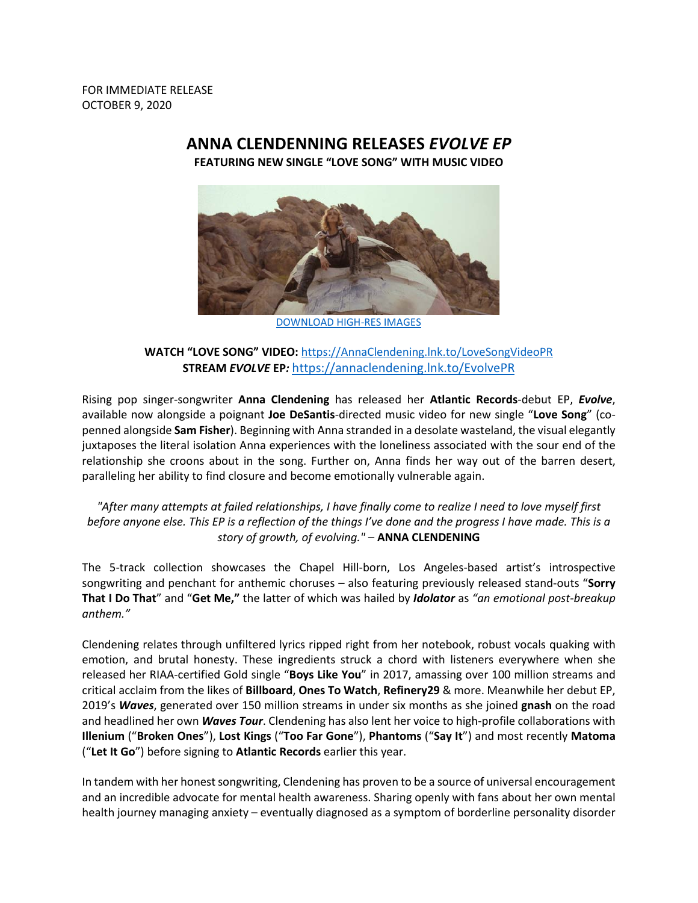FOR IMMEDIATE RELEASE OCTOBER 9, 2020

## **ANNA CLENDENNING RELEASES** *EVOLVE EP*

**FEATURING NEW SINGLE "LOVE SONG" WITH MUSIC VIDEO**



[DOWNLOAD HIGH-RES IMAGES](http://press.atlanticrecords.com/anna-clendening)

## **WATCH "LOVE SONG" VIDEO:** [https://AnnaClendening.lnk.to/LoveSongVideoPR](https://annaclendening.lnk.to/LoveSongVideoPR) **STREAM** *EVOLVE* **EP***:* [https://annaclendening.lnk.to/EvolvePR](https://nam04.safelinks.protection.outlook.com/?url=https%3A%2F%2Fannaclendening.lnk.to%2FEvolvePR&data=02%7C01%7CBrian.Sommer%40atlanticrecords.com%7Ceac7656f9461420caf3208d86bd53af3%7C8367939002ec4ba1ad3d69da3fdd637e%7C0%7C0%7C637377910859360423&sdata=OHqj8kqcbhTqNfcfjk2m2ALGGZCPqi7v%2BjecOQCXkFk%3D&reserved=0)

Rising pop singer-songwriter **Anna Clendening** has released her **Atlantic Records**-debut EP, *Evolve*, available now alongside a poignant **Joe DeSantis**-directed music video for new single "**Love Song**" (copenned alongside **Sam Fisher**). Beginning with Anna stranded in a desolate wasteland, the visual elegantly juxtaposes the literal isolation Anna experiences with the loneliness associated with the sour end of the relationship she croons about in the song. Further on, Anna finds her way out of the barren desert, paralleling her ability to find closure and become emotionally vulnerable again.

## *"After many attempts at failed relationships, I have finally come to realize I need to love myself first before anyone else. This EP is a reflection of the things I've done and the progress I have made. This is a story of growth, of evolving."* – **ANNA CLENDENING**

The 5-track collection showcases the Chapel Hill-born, Los Angeles-based artist's introspective songwriting and penchant for anthemic choruses – also featuring previously released stand-outs "**Sorry That I Do That**" and "**Get Me,"** the latter of which was hailed by *Idolator* as *"an emotional post-breakup anthem."*

Clendening relates through unfiltered lyrics ripped right from her notebook, robust vocals quaking with emotion, and brutal honesty. These ingredients struck a chord with listeners everywhere when she released her RIAA-certified Gold single "**Boys Like You**" in 2017, amassing over 100 million streams and critical acclaim from the likes of **Billboard**, **Ones To Watch**, **Refinery29** & more. Meanwhile her debut EP, 2019's *Waves*, generated over 150 million streams in under six months as she joined **gnash** on the road and headlined her own *Waves Tour*. Clendening has also lent her voice to high-profile collaborations with **Illenium** ("**Broken Ones**"), **Lost Kings** ("**Too Far Gone**"), **Phantoms** ("**Say It**") and most recently **Matoma** ("**Let It Go**") before signing to **Atlantic Records** earlier this year.

In tandem with her honest songwriting, Clendening has proven to be a source of universal encouragement and an incredible advocate for mental health awareness. Sharing openly with fans about her own mental health journey managing anxiety – eventually diagnosed as a symptom of borderline personality disorder